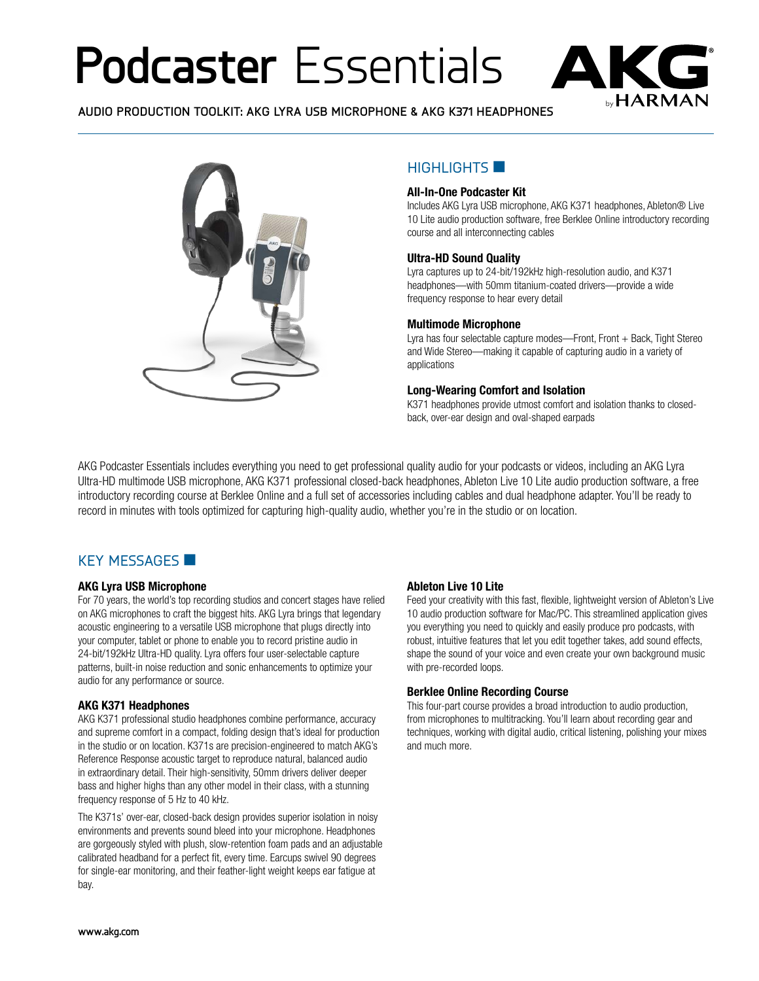# **Podcaster** Essentials



**AUDIO PRODUCTION TOOLKIT: AKG LYRA USB MICROPHONE & AKG K371 HEADPHONES**



## HIGHLIGHTS **N**

#### **All-In-One Podcaster Kit**

Includes AKG Lyra USB microphone, AKG K371 headphones, Ableton® Live 10 Lite audio production software, free Berklee Online introductory recording course and all interconnecting cables

#### **Ultra-HD Sound Quality**

Lyra captures up to 24-bit/192kHz high-resolution audio, and K371 headphones—with 50mm titanium-coated drivers—provide a wide frequency response to hear every detail

#### **Multimode Microphone**

Lyra has four selectable capture modes-Front, Front + Back, Tight Stereo and Wide Stereo—making it capable of capturing audio in a variety of applications

#### **Long-Wearing Comfort and Isolation**

K371 headphones provide utmost comfort and isolation thanks to closedback, over-ear design and oval-shaped earpads

AKG Podcaster Essentials includes everything you need to get professional quality audio for your podcasts or videos, including an AKG Lyra Ultra-HD multimode USB microphone, AKG K371 professional closed-back headphones, Ableton Live 10 Lite audio production software, a free introductory recording course at Berklee Online and a full set of accessories including cables and dual headphone adapter. You'll be ready to record in minutes with tools optimized for capturing high-quality audio, whether you're in the studio or on location.

### KFY MESSAGES

#### **AKG Lyra USB Microphone**

For 70 years, the world's top recording studios and concert stages have relied on AKG microphones to craft the biggest hits. AKG Lyra brings that legendary acoustic engineering to a versatile USB microphone that plugs directly into your computer, tablet or phone to enable you to record pristine audio in 24-bit/192kHz Ultra-HD quality. Lyra offers four user-selectable capture patterns, built-in noise reduction and sonic enhancements to optimize your audio for any performance or source.

#### **AKG K371 Headphones**

AKG K371 professional studio headphones combine performance, accuracy and supreme comfort in a compact, folding design that's ideal for production in the studio or on location. K371s are precision-engineered to match AKG's Reference Response acoustic target to reproduce natural, balanced audio in extraordinary detail. Their high-sensitivity, 50mm drivers deliver deeper bass and higher highs than any other model in their class, with a stunning frequency response of 5 Hz to 40 kHz.

The K371s' over-ear, closed-back design provides superior isolation in noisy environments and prevents sound bleed into your microphone. Headphones are gorgeously styled with plush, slow-retention foam pads and an adjustable calibrated headband for a perfect fit, every time. Earcups swivel 90 degrees for single-ear monitoring, and their feather-light weight keeps ear fatigue at bay.

#### **Ableton Live 10 Lite**

Feed your creativity with this fast, flexible, lightweight version of Ableton's Live 10 audio production software for Mac/PC. This streamlined application gives you everything you need to quickly and easily produce pro podcasts, with robust, intuitive features that let you edit together takes, add sound effects, shape the sound of your voice and even create your own background music with pre-recorded loops.

#### **Berklee Online Recording Course**

This four-part course provides a broad introduction to audio production, from microphones to multitracking. You'll learn about recording gear and techniques, working with digital audio, critical listening, polishing your mixes and much more.